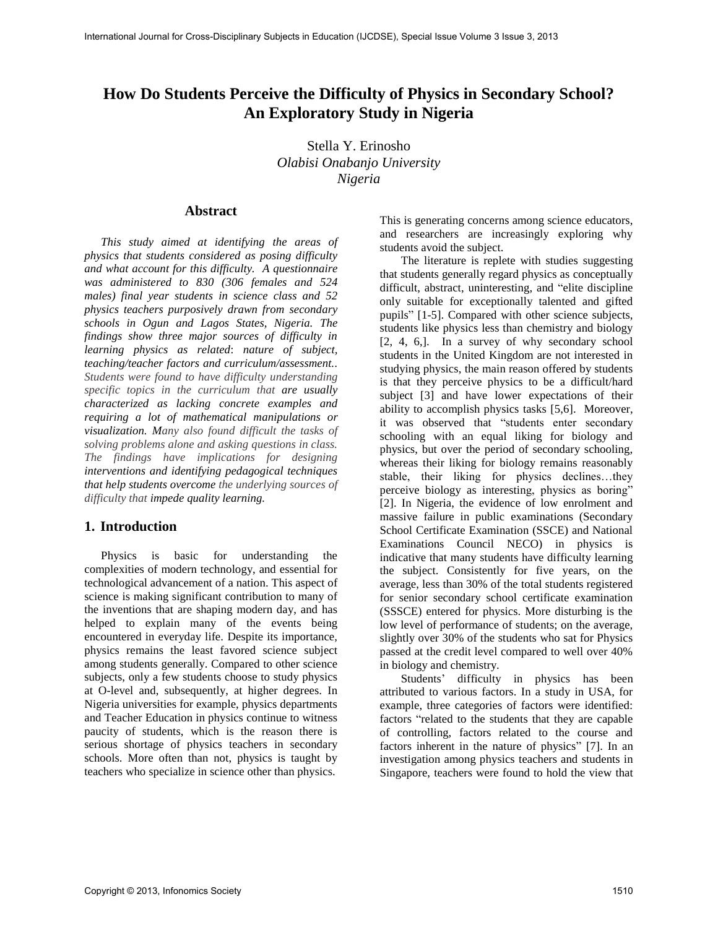# **How Do Students Perceive the Difficulty of Physics in Secondary School? An Exploratory Study in Nigeria**

Stella Y. Erinosho *Olabisi Onabanjo University Nigeria*

### **Abstract**

*This study aimed at identifying the areas of physics that students considered as posing difficulty and what account for this difficulty. A questionnaire was administered to 830 (306 females and 524 males) final year students in science class and 52 physics teachers purposively drawn from secondary schools in Ogun and Lagos States, Nigeria. The findings show three major sources of difficulty in learning physics as related*: *nature of subject, teaching/teacher factors and curriculum/assessment.. Students were found to have difficulty understanding specific topics in the curriculum that are usually characterized as lacking concrete examples and requiring a lot of mathematical manipulations or visualization. Many also found difficult the tasks of solving problems alone and asking questions in class. The findings have implications for designing interventions and identifying pedagogical techniques that help students overcome the underlying sources of difficulty that impede quality learning.*

### **1. Introduction**

Physics is basic for understanding the complexities of modern technology, and essential for technological advancement of a nation. This aspect of science is making significant contribution to many of the inventions that are shaping modern day, and has helped to explain many of the events being encountered in everyday life. Despite its importance, physics remains the least favored science subject among students generally. Compared to other science subjects, only a few students choose to study physics at O-level and, subsequently, at higher degrees. In Nigeria universities for example, physics departments and Teacher Education in physics continue to witness paucity of students, which is the reason there is serious shortage of physics teachers in secondary schools. More often than not, physics is taught by teachers who specialize in science other than physics.

This is generating concerns among science educators, and researchers are increasingly exploring why students avoid the subject.

 The literature is replete with studies suggesting that students generally regard physics as conceptually difficult, abstract, uninteresting, and "elite discipline only suitable for exceptionally talented and gifted pupils" [1-5]. Compared with other science subjects, students like physics less than chemistry and biology [2, 4, 6,]. In a survey of why secondary school students in the United Kingdom are not interested in studying physics, the main reason offered by students is that they perceive physics to be a difficult/hard subject [3] and have lower expectations of their ability to accomplish physics tasks [5,6]. Moreover, it was observed that "students enter secondary schooling with an equal liking for biology and physics, but over the period of secondary schooling, whereas their liking for biology remains reasonably stable, their liking for physics declines…they perceive biology as interesting, physics as boring" [2]. In Nigeria, the evidence of low enrolment and massive failure in public examinations (Secondary School Certificate Examination (SSCE) and National Examinations Council NECO) in physics is indicative that many students have difficulty learning the subject. Consistently for five years, on the average, less than 30% of the total students registered for senior secondary school certificate examination (SSSCE) entered for physics. More disturbing is the low level of performance of students; on the average, slightly over 30% of the students who sat for Physics passed at the credit level compared to well over 40% in biology and chemistry.

Students' difficulty in physics has been attributed to various factors. In a study in USA, for example, three categories of factors were identified: factors "related to the students that they are capable of controlling, factors related to the course and factors inherent in the nature of physics" [7]. In an investigation among physics teachers and students in Singapore, teachers were found to hold the view that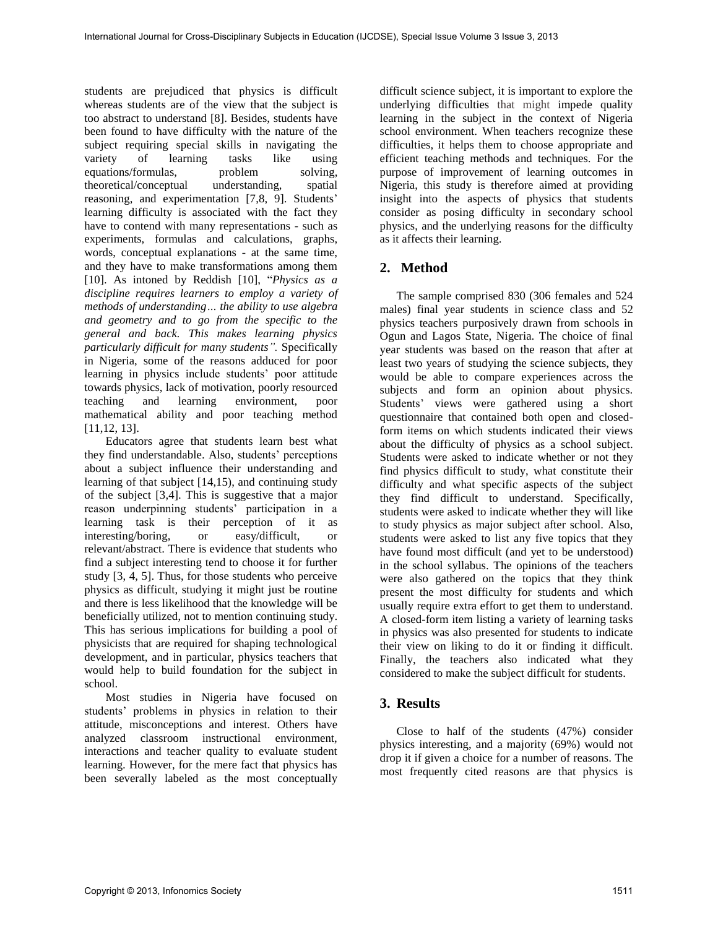students are prejudiced that physics is difficult whereas students are of the view that the subject is too abstract to understand [8]. Besides, students have been found to have difficulty with the nature of the subject requiring special skills in navigating the variety of learning tasks like using equations/formulas, problem solving, theoretical/conceptual understanding, spatial reasoning, and experimentation [7,8, 9]. Students' learning difficulty is associated with the fact they have to contend with many representations - such as experiments, formulas and calculations, graphs, words, conceptual explanations - at the same time, and they have to make transformations among them [10]. As intoned by Reddish [10], "*Physics as a discipline requires learners to employ a variety of methods of understanding… the ability to use algebra and geometry and to go from the specific to the general and back. This makes learning physics particularly difficult for many students".* Specifically in Nigeria, some of the reasons adduced for poor learning in physics include students' poor attitude towards physics, lack of motivation, poorly resourced teaching and learning environment, poor mathematical ability and poor teaching method [11,12, 13].

Educators agree that students learn best what they find understandable. Also, students' perceptions about a subject influence their understanding and learning of that subject [14,15), and continuing study of the subject [3,4]. This is suggestive that a major reason underpinning students' participation in a learning task is their perception of it as interesting/boring, or easy/difficult, or relevant/abstract. There is evidence that students who find a subject interesting tend to choose it for further study [3, 4, 5]. Thus, for those students who perceive physics as difficult, studying it might just be routine and there is less likelihood that the knowledge will be beneficially utilized, not to mention continuing study. This has serious implications for building a pool of physicists that are required for shaping technological development, and in particular, physics teachers that would help to build foundation for the subject in school.

Most studies in Nigeria have focused on students' problems in physics in relation to their attitude, misconceptions and interest. Others have analyzed classroom instructional environment, interactions and teacher quality to evaluate student learning. However, for the mere fact that physics has been severally labeled as the most conceptually

difficult science subject, it is important to explore the underlying difficulties that might impede quality learning in the subject in the context of Nigeria school environment. When teachers recognize these difficulties, it helps them to choose appropriate and efficient teaching methods and techniques. For the purpose of improvement of learning outcomes in Nigeria, this study is therefore aimed at providing insight into the aspects of physics that students consider as posing difficulty in secondary school physics, and the underlying reasons for the difficulty as it affects their learning.

# **2. Method**

The sample comprised 830 (306 females and 524 males) final year students in science class and 52 physics teachers purposively drawn from schools in Ogun and Lagos State, Nigeria. The choice of final year students was based on the reason that after at least two years of studying the science subjects, they would be able to compare experiences across the subjects and form an opinion about physics. Students' views were gathered using a short questionnaire that contained both open and closedform items on which students indicated their views about the difficulty of physics as a school subject. Students were asked to indicate whether or not they find physics difficult to study, what constitute their difficulty and what specific aspects of the subject they find difficult to understand. Specifically, students were asked to indicate whether they will like to study physics as major subject after school. Also, students were asked to list any five topics that they have found most difficult (and yet to be understood) in the school syllabus. The opinions of the teachers were also gathered on the topics that they think present the most difficulty for students and which usually require extra effort to get them to understand. A closed-form item listing a variety of learning tasks in physics was also presented for students to indicate their view on liking to do it or finding it difficult. Finally, the teachers also indicated what they considered to make the subject difficult for students.

## **3. Results**

Close to half of the students (47%) consider physics interesting, and a majority (69%) would not drop it if given a choice for a number of reasons. The most frequently cited reasons are that physics is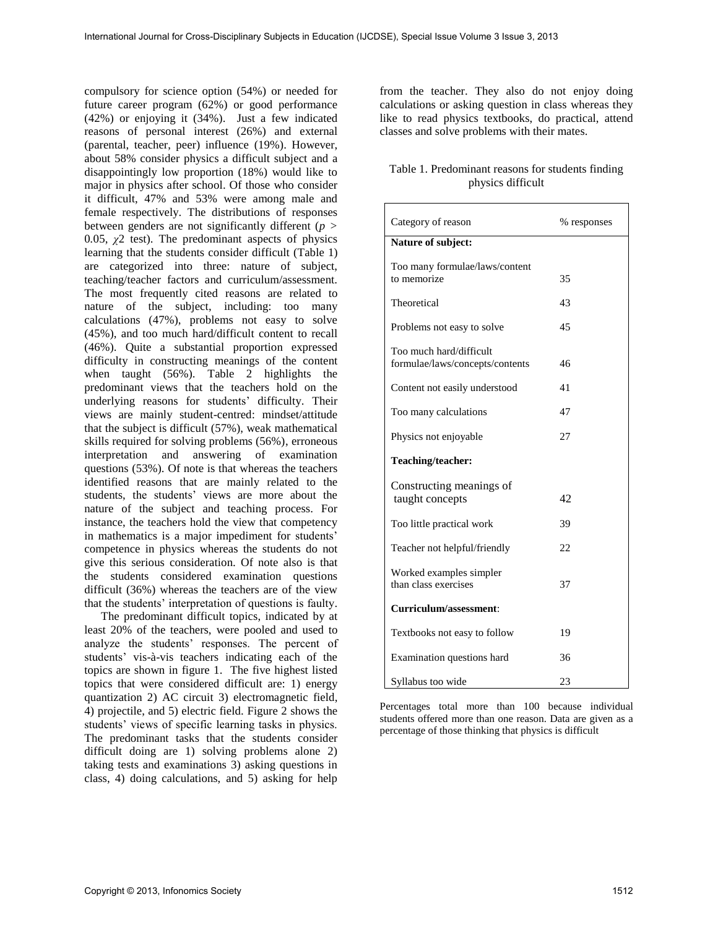compulsory for science option (54%) or needed for future career program (62%) or good performance (42%) or enjoying it (34%). Just a few indicated reasons of personal interest (26%) and external (parental, teacher, peer) influence (19%). However, about 58% consider physics a difficult subject and a disappointingly low proportion (18%) would like to major in physics after school. Of those who consider it difficult, 47% and 53% were among male and female respectively. The distributions of responses between genders are not significantly different (*p >*  0*.*05, *χ*2 test). The predominant aspects of physics learning that the students consider difficult (Table 1) are categorized into three: nature of subject, teaching/teacher factors and curriculum/assessment. The most frequently cited reasons are related to nature of the subject, including: too many calculations (47%), problems not easy to solve (45%), and too much hard/difficult content to recall (46%). Quite a substantial proportion expressed difficulty in constructing meanings of the content when taught (56%). Table 2 highlights the predominant views that the teachers hold on the underlying reasons for students' difficulty. Their views are mainly student-centred: mindset/attitude that the subject is difficult (57%), weak mathematical skills required for solving problems (56%), erroneous interpretation and answering of examination questions (53%). Of note is that whereas the teachers identified reasons that are mainly related to the students, the students' views are more about the nature of the subject and teaching process. For instance, the teachers hold the view that competency in mathematics is a major impediment for students' competence in physics whereas the students do not give this serious consideration. Of note also is that the students considered examination questions difficult (36%) whereas the teachers are of the view that the students' interpretation of questions is faulty.

 The predominant difficult topics, indicated by at least 20% of the teachers, were pooled and used to analyze the students' responses. The percent of students' vis-à-vis teachers indicating each of the topics are shown in figure 1. The five highest listed topics that were considered difficult are: 1) energy quantization 2) AC circuit 3) electromagnetic field, 4) projectile, and 5) electric field. Figure 2 shows the students' views of specific learning tasks in physics. The predominant tasks that the students consider difficult doing are 1) solving problems alone 2) taking tests and examinations 3) asking questions in class, 4) doing calculations, and 5) asking for help

from the teacher. They also do not enjoy doing calculations or asking question in class whereas they like to read physics textbooks, do practical, attend classes and solve problems with their mates.

#### Table 1. Predominant reasons for students finding physics difficult

| Category of reason                                         | % responses |  |  |  |
|------------------------------------------------------------|-------------|--|--|--|
| Nature of subject:                                         |             |  |  |  |
| Too many formulae/laws/content<br>to memorize              | 35          |  |  |  |
| Theoretical                                                | 43          |  |  |  |
| Problems not easy to solve                                 | 45          |  |  |  |
| Too much hard/difficult<br>formulae/laws/concepts/contents | 46          |  |  |  |
| Content not easily understood                              | 41          |  |  |  |
| Too many calculations                                      | 47          |  |  |  |
| Physics not enjoyable                                      | 27          |  |  |  |
| Teaching/teacher:                                          |             |  |  |  |
| Constructing meanings of<br>taught concepts                | 42          |  |  |  |
| Too little practical work                                  | 39          |  |  |  |
| Teacher not helpful/friendly                               | 22          |  |  |  |
| Worked examples simpler<br>than class exercises            | 37          |  |  |  |
| Curriculum/assessment:                                     |             |  |  |  |
| Textbooks not easy to follow                               | 19          |  |  |  |
| Examination questions hard                                 | 36          |  |  |  |
| Syllabus too wide                                          | 23          |  |  |  |

Percentages total more than 100 because individual students offered more than one reason. Data are given as a percentage of those thinking that physics is difficult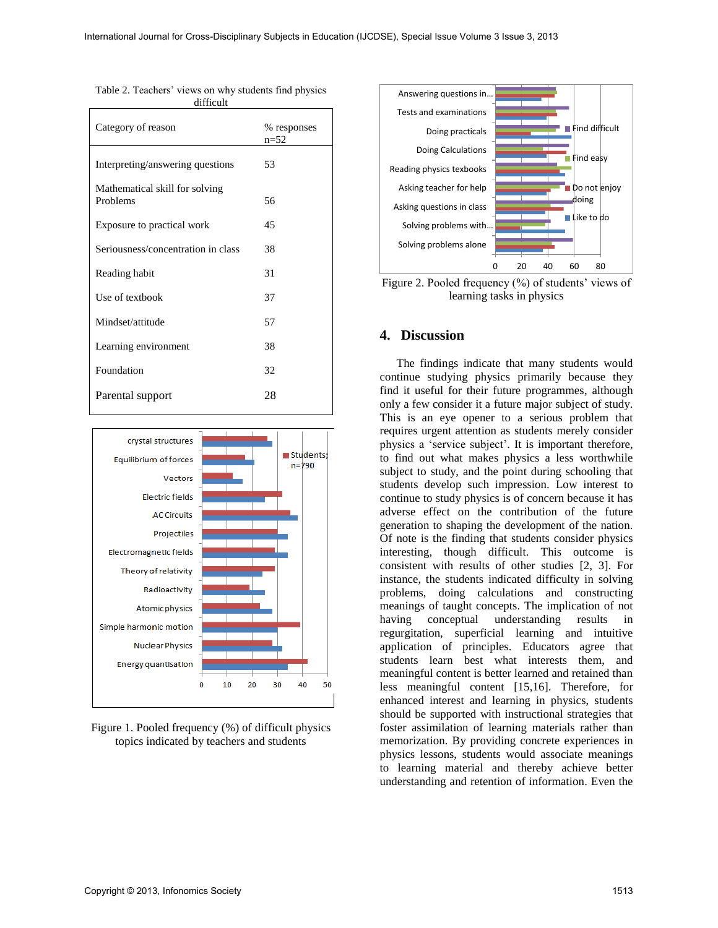| Category of reason                         | % responses<br>$n=52$ |
|--------------------------------------------|-----------------------|
| Interpreting/answering questions           | 53                    |
| Mathematical skill for solving<br>Problems | 56                    |
| Exposure to practical work                 | 45                    |
| Seriousness/concentration in class         | 38                    |
| Reading habit                              | 31                    |
| Use of textbook                            | 37                    |
| Mindset/attitude                           | 57                    |
| Learning environment                       | 38                    |
| Foundation                                 | 32                    |
| Parental support                           | 28                    |

| Table 2. Teachers' views on why students find physics |  |  |  |  |  |
|-------------------------------------------------------|--|--|--|--|--|
| difficult                                             |  |  |  |  |  |



Figure 1. Pooled frequency (%) of difficult physics topics indicated by teachers and students



Figure 2. Pooled frequency (%) of students' views of learning tasks in physics

### **4. Discussion**

The findings indicate that many students would continue studying physics primarily because they find it useful for their future programmes, although only a few consider it a future major subject of study. This is an eye opener to a serious problem that requires urgent attention as students merely consider physics a 'service subject'. It is important therefore, to find out what makes physics a less worthwhile subject to study, and the point during schooling that students develop such impression. Low interest to continue to study physics is of concern because it has adverse effect on the contribution of the future generation to shaping the development of the nation. Of note is the finding that students consider physics interesting, though difficult. This outcome is consistent with results of other studies [2, 3]. For instance, the students indicated difficulty in solving problems, doing calculations and constructing meanings of taught concepts. The implication of not having conceptual understanding results in regurgitation, superficial learning and intuitive application of principles. Educators agree that students learn best what interests them, and meaningful content is better learned and retained than less meaningful content [15,16]. Therefore, for enhanced interest and learning in physics, students should be supported with instructional strategies that foster assimilation of learning materials rather than memorization. By providing concrete experiences in physics lessons, students would associate meanings to learning material and thereby achieve better understanding and retention of information. Even the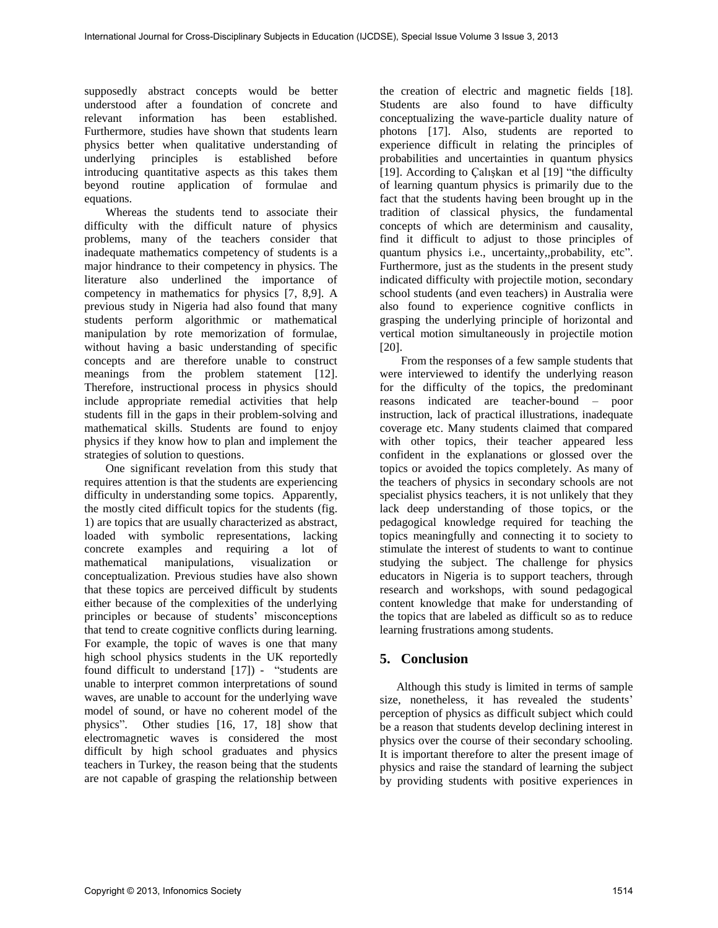supposedly abstract concepts would be better understood after a foundation of concrete and relevant information has been established. Furthermore, studies have shown that students learn physics better when qualitative understanding of underlying principles is established before introducing quantitative aspects as this takes them beyond routine application of formulae and equations.

Whereas the students tend to associate their difficulty with the difficult nature of physics problems, many of the teachers consider that inadequate mathematics competency of students is a major hindrance to their competency in physics. The literature also underlined the importance of competency in mathematics for physics [7, 8,9]. A previous study in Nigeria had also found that many students perform algorithmic or mathematical manipulation by rote memorization of formulae, without having a basic understanding of specific concepts and are therefore unable to construct meanings from the problem statement [12]. Therefore, instructional process in physics should include appropriate remedial activities that help students fill in the gaps in their problem-solving and mathematical skills. Students are found to enjoy physics if they know how to plan and implement the strategies of solution to questions.

One significant revelation from this study that requires attention is that the students are experiencing difficulty in understanding some topics. Apparently, the mostly cited difficult topics for the students (fig. 1) are topics that are usually characterized as abstract, loaded with symbolic representations, lacking concrete examples and requiring a lot of mathematical manipulations, visualization or conceptualization. Previous studies have also shown that these topics are perceived difficult by students either because of the complexities of the underlying principles or because of students' misconceptions that tend to create cognitive conflicts during learning. For example, the topic of waves is one that many high school physics students in the UK reportedly found difficult to understand [17]) - "students are unable to interpret common interpretations of sound waves, are unable to account for the underlying wave model of sound, or have no coherent model of the physics". Other studies [16, 17, 18] show that electromagnetic waves is considered the most difficult by high school graduates and physics teachers in Turkey, the reason being that the students are not capable of grasping the relationship between

the creation of electric and magnetic fields [18]. Students are also found to have difficulty conceptualizing the wave-particle duality nature of photons [17]. Also, students are reported to experience difficult in relating the principles of probabilities and uncertainties in quantum physics [19]. According to Caliskan et al [19] "the difficulty" of learning quantum physics is primarily due to the fact that the students having been brought up in the tradition of classical physics, the fundamental concepts of which are determinism and causality, find it difficult to adjust to those principles of quantum physics i.e., uncertainty,,probability, etc". Furthermore, just as the students in the present study indicated difficulty with projectile motion, secondary school students (and even teachers) in Australia were also found to experience cognitive conflicts in grasping the underlying principle of horizontal and vertical motion simultaneously in projectile motion [20].

 From the responses of a few sample students that were interviewed to identify the underlying reason for the difficulty of the topics, the predominant reasons indicated are teacher-bound – poor instruction, lack of practical illustrations, inadequate coverage etc. Many students claimed that compared with other topics, their teacher appeared less confident in the explanations or glossed over the topics or avoided the topics completely. As many of the teachers of physics in secondary schools are not specialist physics teachers, it is not unlikely that they lack deep understanding of those topics, or the pedagogical knowledge required for teaching the topics meaningfully and connecting it to society to stimulate the interest of students to want to continue studying the subject. The challenge for physics educators in Nigeria is to support teachers, through research and workshops, with sound pedagogical content knowledge that make for understanding of the topics that are labeled as difficult so as to reduce learning frustrations among students.

# **5. Conclusion**

Although this study is limited in terms of sample size, nonetheless, it has revealed the students' perception of physics as difficult subject which could be a reason that students develop declining interest in physics over the course of their secondary schooling. It is important therefore to alter the present image of physics and raise the standard of learning the subject by providing students with positive experiences in